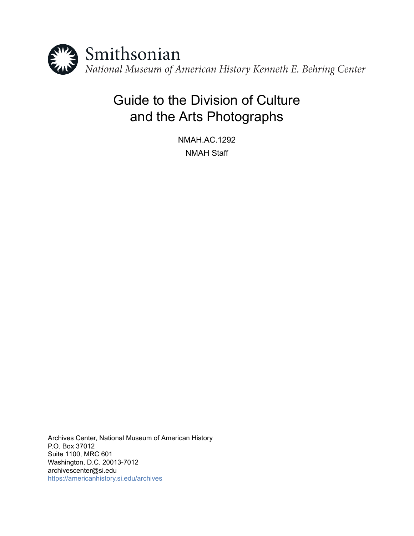

# Guide to the Division of Culture and the Arts Photographs

NMAH.AC.1292 NMAH Staff

Archives Center, National Museum of American History P.O. Box 37012 Suite 1100, MRC 601 Washington, D.C. 20013-7012 archivescenter@si.edu <https://americanhistory.si.edu/archives>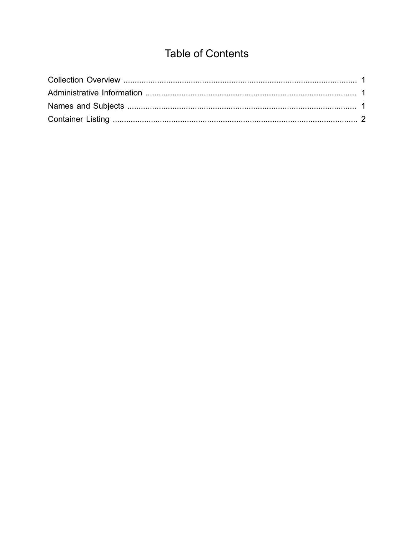## **Table of Contents**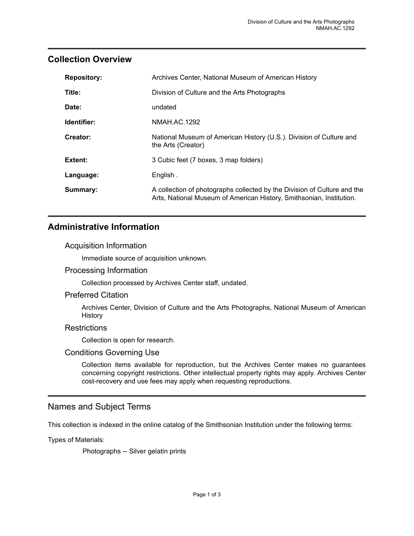#### <span id="page-2-0"></span>**Collection Overview**

| <b>Repository:</b> | Archives Center, National Museum of American History                                                                                             |
|--------------------|--------------------------------------------------------------------------------------------------------------------------------------------------|
| Title:             | Division of Culture and the Arts Photographs                                                                                                     |
| Date:              | undated                                                                                                                                          |
| Identifier:        | NMAH.AC.1292                                                                                                                                     |
| Creator:           | National Museum of American History (U.S.). Division of Culture and<br>the Arts (Creator)                                                        |
| Extent:            | 3 Cubic feet (7 boxes, 3 map folders)                                                                                                            |
| Language:          | English.                                                                                                                                         |
| Summary:           | A collection of photographs collected by the Division of Culture and the<br>Arts, National Museum of American History, Smithsonian, Institution. |

#### <span id="page-2-1"></span>**Administrative Information**

#### Acquisition Information

Immediate source of acquisition unknown.

#### Processing Information

Collection processed by Archives Center staff, undated.

#### Preferred Citation

Archives Center, Division of Culture and the Arts Photographs, National Museum of American **History** 

#### **Restrictions**

Collection is open for research.

#### Conditions Governing Use

Collection items available for reproduction, but the Archives Center makes no guarantees concerning copyright restrictions. Other intellectual property rights may apply. Archives Center cost-recovery and use fees may apply when requesting reproductions.

#### <span id="page-2-2"></span>Names and Subject Terms

This collection is indexed in the online catalog of the Smithsonian Institution under the following terms:

Types of Materials:

Photographs -- Silver gelatin prints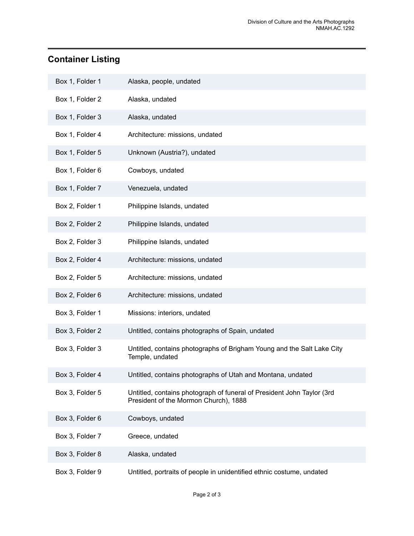### <span id="page-3-0"></span>**Container Listing**

| Box 1, Folder 1 | Alaska, people, undated                                                                                         |
|-----------------|-----------------------------------------------------------------------------------------------------------------|
| Box 1, Folder 2 | Alaska, undated                                                                                                 |
| Box 1, Folder 3 | Alaska, undated                                                                                                 |
| Box 1, Folder 4 | Architecture: missions, undated                                                                                 |
| Box 1, Folder 5 | Unknown (Austria?), undated                                                                                     |
| Box 1, Folder 6 | Cowboys, undated                                                                                                |
| Box 1, Folder 7 | Venezuela, undated                                                                                              |
| Box 2, Folder 1 | Philippine Islands, undated                                                                                     |
| Box 2, Folder 2 | Philippine Islands, undated                                                                                     |
| Box 2, Folder 3 | Philippine Islands, undated                                                                                     |
| Box 2, Folder 4 | Architecture: missions, undated                                                                                 |
| Box 2, Folder 5 | Architecture: missions, undated                                                                                 |
| Box 2, Folder 6 | Architecture: missions, undated                                                                                 |
| Box 3, Folder 1 | Missions: interiors, undated                                                                                    |
| Box 3, Folder 2 | Untitled, contains photographs of Spain, undated                                                                |
| Box 3, Folder 3 | Untitled, contains photographs of Brigham Young and the Salt Lake City<br>Temple, undated                       |
| Box 3, Folder 4 | Untitled, contains photographs of Utah and Montana, undated                                                     |
| Box 3, Folder 5 | Untitled, contains photograph of funeral of President John Taylor (3rd<br>President of the Mormon Church), 1888 |
| Box 3, Folder 6 | Cowboys, undated                                                                                                |
| Box 3, Folder 7 | Greece, undated                                                                                                 |
| Box 3, Folder 8 | Alaska, undated                                                                                                 |
| Box 3, Folder 9 | Untitled, portraits of people in unidentified ethnic costume, undated                                           |